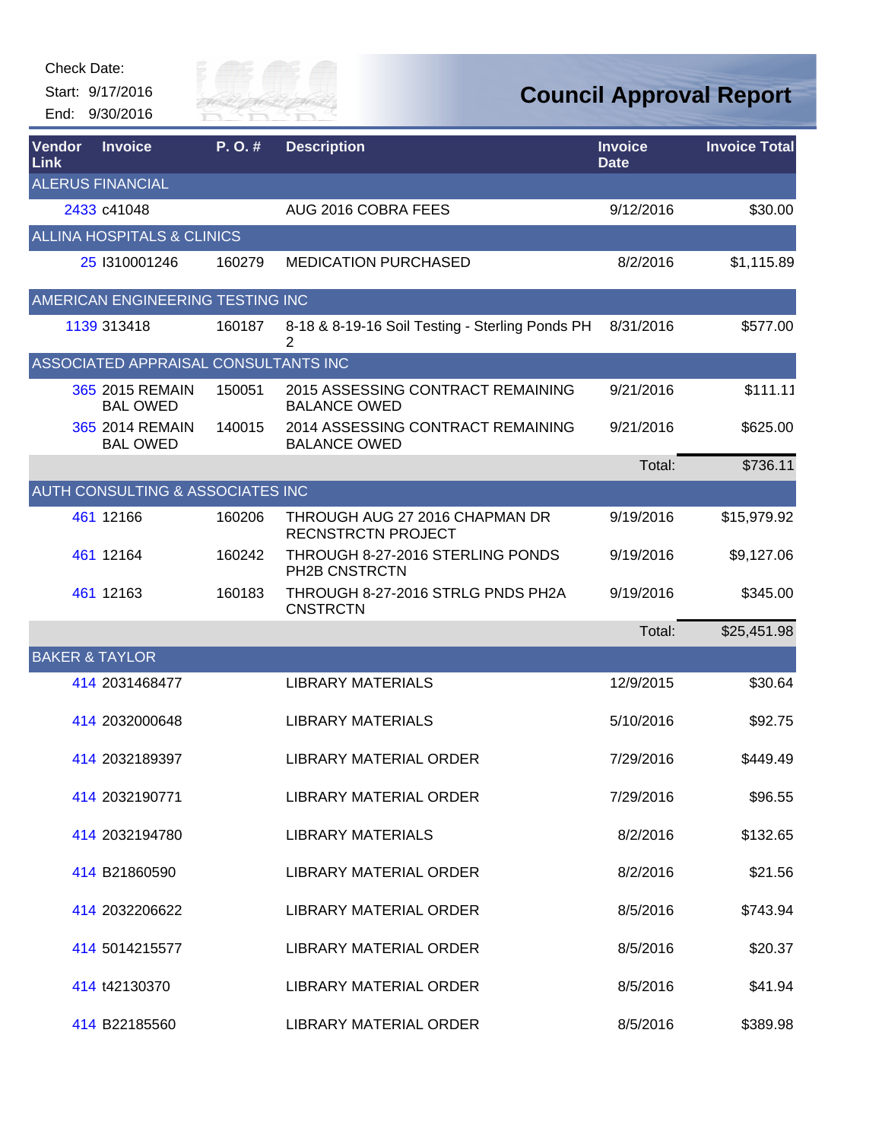Start: 9/17/2016 End: 9/30/2016



| <b>Vendor</b><br><b>Link</b> | <b>Invoice</b>                        | P.O.#  | <b>Description</b>                                          | <b>Invoice</b><br><b>Date</b> | <b>Invoice Total</b> |
|------------------------------|---------------------------------------|--------|-------------------------------------------------------------|-------------------------------|----------------------|
|                              | <b>ALERUS FINANCIAL</b>               |        |                                                             |                               |                      |
|                              | 2433 c41048                           |        | AUG 2016 COBRA FEES                                         | 9/12/2016                     | \$30.00              |
|                              | <b>ALLINA HOSPITALS &amp; CLINICS</b> |        |                                                             |                               |                      |
|                              | 25 1310001246                         | 160279 | <b>MEDICATION PURCHASED</b>                                 | 8/2/2016                      | \$1,115.89           |
|                              | AMERICAN ENGINEERING TESTING INC      |        |                                                             |                               |                      |
|                              | 1139 313418                           | 160187 | 8-18 & 8-19-16 Soil Testing - Sterling Ponds PH<br>2        | 8/31/2016                     | \$577.00             |
|                              | ASSOCIATED APPRAISAL CONSULTANTS INC  |        |                                                             |                               |                      |
|                              | 365 2015 REMAIN<br><b>BAL OWED</b>    | 150051 | 2015 ASSESSING CONTRACT REMAINING<br><b>BALANCE OWED</b>    | 9/21/2016                     | \$111.11             |
|                              | 365 2014 REMAIN<br><b>BAL OWED</b>    | 140015 | 2014 ASSESSING CONTRACT REMAINING<br><b>BALANCE OWED</b>    | 9/21/2016                     | \$625.00             |
|                              |                                       |        |                                                             | Total:                        | \$736.11             |
|                              | AUTH CONSULTING & ASSOCIATES INC      |        |                                                             |                               |                      |
|                              | 461 12166                             | 160206 | THROUGH AUG 27 2016 CHAPMAN DR<br><b>RECNSTRCTN PROJECT</b> | 9/19/2016                     | \$15,979.92          |
|                              | 461 12164                             | 160242 | THROUGH 8-27-2016 STERLING PONDS<br>PH2B CNSTRCTN           | 9/19/2016                     | \$9,127.06           |
|                              | 461 12163                             | 160183 | THROUGH 8-27-2016 STRLG PNDS PH2A<br><b>CNSTRCTN</b>        | 9/19/2016                     | \$345.00             |
|                              |                                       |        |                                                             | Total:                        | \$25,451.98          |
| <b>BAKER &amp; TAYLOR</b>    |                                       |        |                                                             |                               |                      |
|                              | 414 2031468477                        |        | <b>LIBRARY MATERIALS</b>                                    | 12/9/2015                     | \$30.64              |
|                              | 414 2032000648                        |        | <b>LIBRARY MATERIALS</b>                                    | 5/10/2016                     | \$92.75              |
|                              | 414 2032189397                        |        | <b>LIBRARY MATERIAL ORDER</b>                               | 7/29/2016                     | \$449.49             |
|                              | 414 2032190771                        |        | LIBRARY MATERIAL ORDER                                      | 7/29/2016                     | \$96.55              |
|                              | 414 2032194780                        |        | <b>LIBRARY MATERIALS</b>                                    | 8/2/2016                      | \$132.65             |
|                              | 414 B21860590                         |        | LIBRARY MATERIAL ORDER                                      | 8/2/2016                      | \$21.56              |
|                              | 414 2032206622                        |        | <b>LIBRARY MATERIAL ORDER</b>                               | 8/5/2016                      | \$743.94             |
|                              | 414 5014215577                        |        | <b>LIBRARY MATERIAL ORDER</b>                               | 8/5/2016                      | \$20.37              |
|                              | 414 t42130370                         |        | <b>LIBRARY MATERIAL ORDER</b>                               | 8/5/2016                      | \$41.94              |
|                              | 414 B22185560                         |        | <b>LIBRARY MATERIAL ORDER</b>                               | 8/5/2016                      | \$389.98             |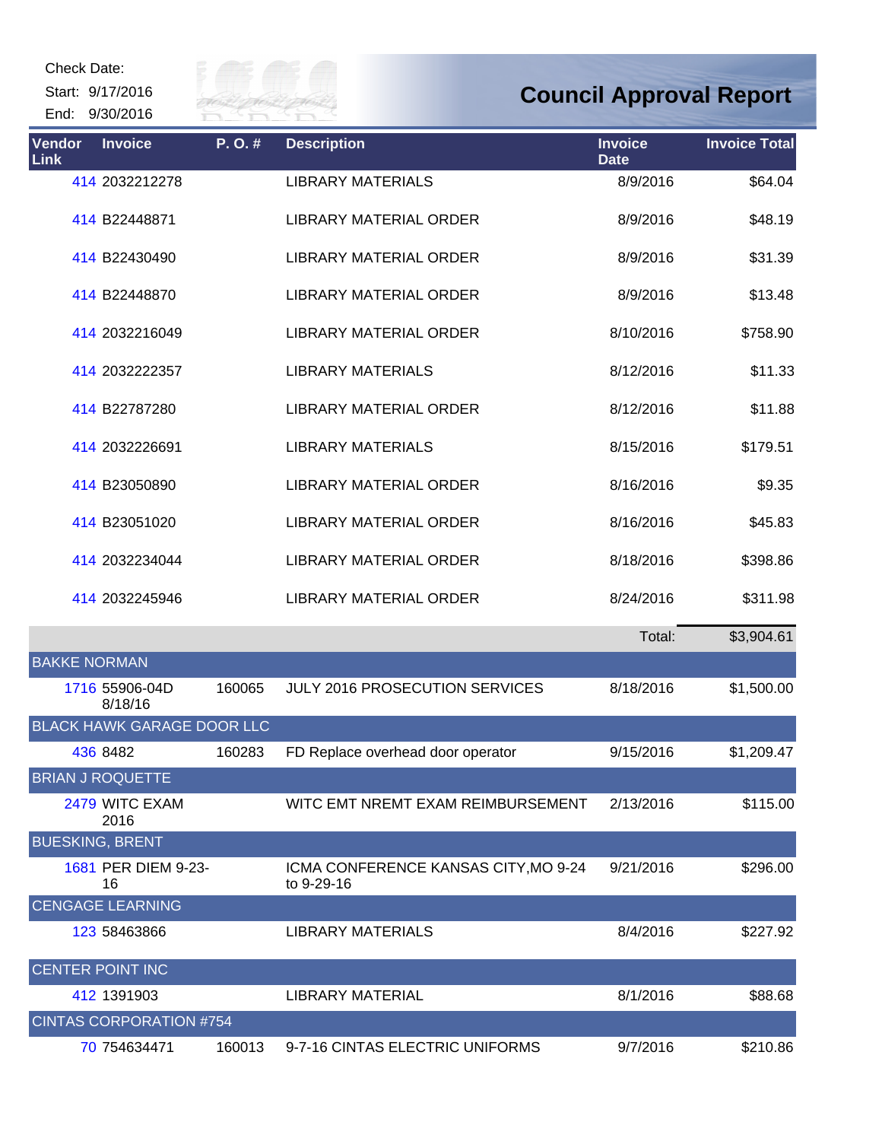Start: 9/17/2016 End: 9/30/2016



| <b>Vendor</b><br><b>Link</b> | <b>Invoice</b>                    | P.O.#  | <b>Description</b>                                 | <b>Invoice</b><br><b>Date</b> | <b>Invoice Total</b> |
|------------------------------|-----------------------------------|--------|----------------------------------------------------|-------------------------------|----------------------|
|                              | 414 2032212278                    |        | <b>LIBRARY MATERIALS</b>                           | 8/9/2016                      | \$64.04              |
|                              | 414 B22448871                     |        | <b>LIBRARY MATERIAL ORDER</b>                      | 8/9/2016                      | \$48.19              |
|                              | 414 B22430490                     |        | <b>LIBRARY MATERIAL ORDER</b>                      | 8/9/2016                      | \$31.39              |
|                              | 414 B22448870                     |        | <b>LIBRARY MATERIAL ORDER</b>                      | 8/9/2016                      | \$13.48              |
|                              | 414 2032216049                    |        | <b>LIBRARY MATERIAL ORDER</b>                      | 8/10/2016                     | \$758.90             |
|                              | 414 2032222357                    |        | <b>LIBRARY MATERIALS</b>                           | 8/12/2016                     | \$11.33              |
|                              | 414 B22787280                     |        | <b>LIBRARY MATERIAL ORDER</b>                      | 8/12/2016                     | \$11.88              |
|                              | 414 2032226691                    |        | <b>LIBRARY MATERIALS</b>                           | 8/15/2016                     | \$179.51             |
|                              | 414 B23050890                     |        | <b>LIBRARY MATERIAL ORDER</b>                      | 8/16/2016                     | \$9.35               |
|                              | 414 B23051020                     |        | <b>LIBRARY MATERIAL ORDER</b>                      | 8/16/2016                     | \$45.83              |
|                              | 414 2032234044                    |        | LIBRARY MATERIAL ORDER                             | 8/18/2016                     | \$398.86             |
|                              | 414 2032245946                    |        | <b>LIBRARY MATERIAL ORDER</b>                      | 8/24/2016                     | \$311.98             |
|                              |                                   |        |                                                    | Total:                        | \$3,904.61           |
| <b>BAKKE NORMAN</b>          |                                   |        |                                                    |                               |                      |
|                              | 1716 55906-04D<br>8/18/16         | 160065 | <b>JULY 2016 PROSECUTION SERVICES</b>              | 8/18/2016                     | \$1,500.00           |
|                              | <b>BLACK HAWK GARAGE DOOR LLC</b> |        |                                                    |                               |                      |
|                              | 436 8482                          | 160283 | FD Replace overhead door operator                  | 9/15/2016                     | \$1,209.47           |
|                              | <b>BRIAN J ROQUETTE</b>           |        |                                                    |                               |                      |
|                              | 2479 WITC EXAM<br>2016            |        | WITC EMT NREMT EXAM REIMBURSEMENT                  | 2/13/2016                     | \$115.00             |
|                              | <b>BUESKING, BRENT</b>            |        |                                                    |                               |                      |
|                              | 1681 PER DIEM 9-23-<br>16         |        | ICMA CONFERENCE KANSAS CITY, MO 9-24<br>to 9-29-16 | 9/21/2016                     | \$296.00             |
|                              | <b>CENGAGE LEARNING</b>           |        |                                                    |                               |                      |
|                              | 123 58463866                      |        | LIBRARY MATERIALS                                  | 8/4/2016                      | \$227.92             |
|                              | <b>CENTER POINT INC</b>           |        |                                                    |                               |                      |
|                              | 412 1391903                       |        | LIBRARY MATERIAL                                   | 8/1/2016                      | \$88.68              |
|                              | <b>CINTAS CORPORATION #754</b>    |        |                                                    |                               |                      |
|                              | 70 754634471                      | 160013 | 9-7-16 CINTAS ELECTRIC UNIFORMS                    | 9/7/2016                      | \$210.86             |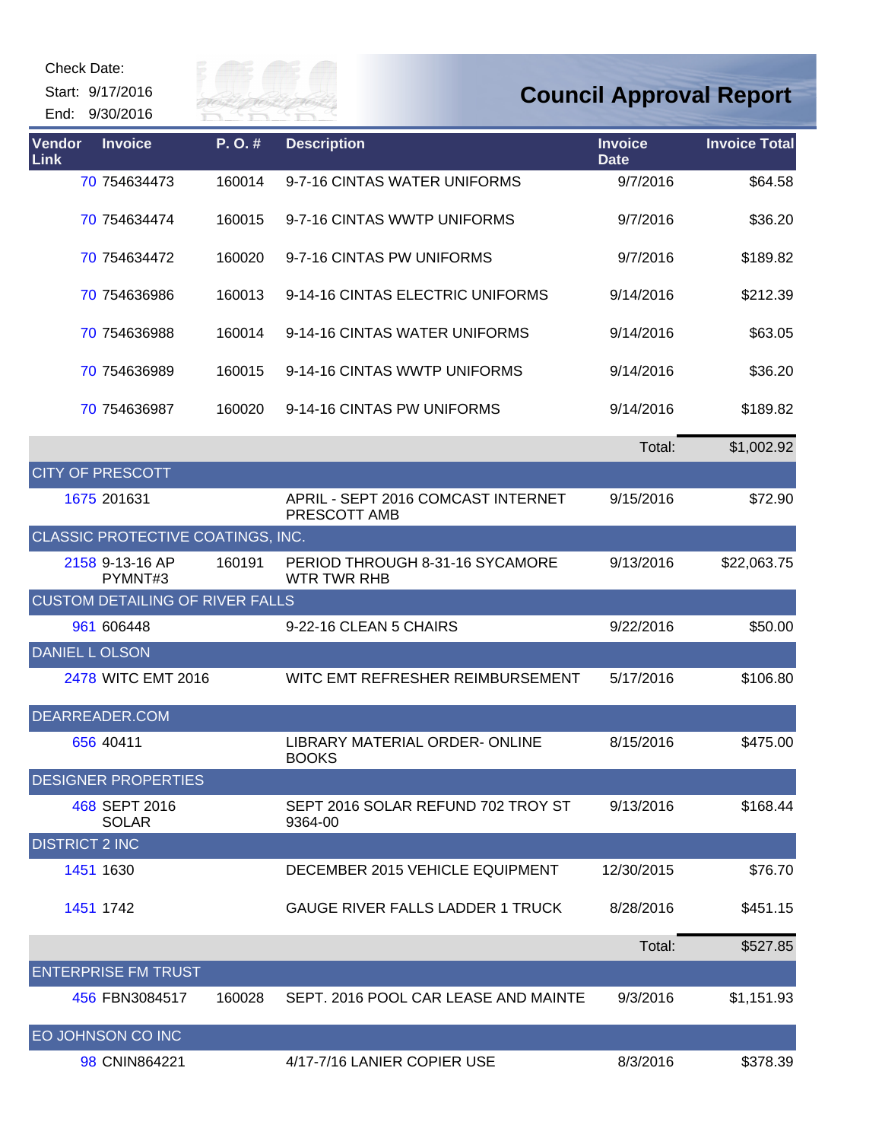| Check Date:           |                                        |                           |                                                    |                               |                                |
|-----------------------|----------------------------------------|---------------------------|----------------------------------------------------|-------------------------------|--------------------------------|
|                       | Start: 9/17/2016<br>End: 9/30/2016     | illy of poor<br>River Fai |                                                    |                               | <b>Council Approval Report</b> |
| Vendor<br>Link        | <b>Invoice</b>                         | P.O.#                     | <b>Description</b>                                 | <b>Invoice</b><br><b>Date</b> | <b>Invoice Total</b>           |
|                       | 70 754634473                           | 160014                    | 9-7-16 CINTAS WATER UNIFORMS                       | 9/7/2016                      | \$64.58                        |
|                       | 70 754634474                           | 160015                    | 9-7-16 CINTAS WWTP UNIFORMS                        | 9/7/2016                      | \$36.20                        |
|                       | 70 754634472                           | 160020                    | 9-7-16 CINTAS PW UNIFORMS                          | 9/7/2016                      | \$189.82                       |
|                       | 70 754636986                           | 160013                    | 9-14-16 CINTAS ELECTRIC UNIFORMS                   | 9/14/2016                     | \$212.39                       |
|                       | 70 754636988                           | 160014                    | 9-14-16 CINTAS WATER UNIFORMS                      | 9/14/2016                     | \$63.05                        |
|                       | 70 754636989                           | 160015                    | 9-14-16 CINTAS WWTP UNIFORMS                       | 9/14/2016                     | \$36.20                        |
|                       | 70 754636987                           | 160020                    | 9-14-16 CINTAS PW UNIFORMS                         | 9/14/2016                     | \$189.82                       |
|                       |                                        |                           |                                                    | Total:                        | \$1,002.92                     |
|                       | <b>CITY OF PRESCOTT</b>                |                           |                                                    |                               |                                |
|                       | 1675 201631                            |                           | APRIL - SEPT 2016 COMCAST INTERNET<br>PRESCOTT AMB | 9/15/2016                     | \$72.90                        |
|                       | CLASSIC PROTECTIVE COATINGS, INC.      |                           |                                                    |                               |                                |
|                       | 2158 9-13-16 AP<br>PYMNT#3             | 160191                    | PERIOD THROUGH 8-31-16 SYCAMORE<br>WTR TWR RHB     | 9/13/2016                     | \$22,063.75                    |
|                       | <b>CUSTOM DETAILING OF RIVER FALLS</b> |                           |                                                    |                               |                                |
|                       | 961 606448                             |                           | 9-22-16 CLEAN 5 CHAIRS                             | 9/22/2016                     | \$50.00                        |
| <b>DANIEL LOLSON</b>  |                                        |                           |                                                    |                               |                                |
|                       | 2478 WITC EMT 2016                     |                           | WITC EMT REFRESHER REIMBURSEMENT                   | 5/17/2016                     | \$106.80                       |
|                       | DEARREADER.COM                         |                           |                                                    |                               |                                |
|                       | 656 40411                              |                           | LIBRARY MATERIAL ORDER-ONLINE<br><b>BOOKS</b>      | 8/15/2016                     | \$475.00                       |
|                       | <b>DESIGNER PROPERTIES</b>             |                           |                                                    |                               |                                |
|                       | 468 SEPT 2016<br><b>SOLAR</b>          |                           | SEPT 2016 SOLAR REFUND 702 TROY ST<br>9364-00      | 9/13/2016                     | \$168.44                       |
| <b>DISTRICT 2 INC</b> |                                        |                           |                                                    |                               |                                |
|                       | 1451 1630                              |                           | DECEMBER 2015 VEHICLE EQUIPMENT                    | 12/30/2015                    | \$76.70                        |
|                       | 1451 1742                              |                           | <b>GAUGE RIVER FALLS LADDER 1 TRUCK</b>            | 8/28/2016                     | \$451.15                       |
|                       |                                        |                           |                                                    | Total:                        | \$527.85                       |
|                       | <b>ENTERPRISE FM TRUST</b>             |                           |                                                    |                               |                                |
|                       | 456 FBN3084517                         | 160028                    | SEPT. 2016 POOL CAR LEASE AND MAINTE               | 9/3/2016                      | \$1,151.93                     |
|                       | EO JOHNSON CO INC                      |                           |                                                    |                               |                                |
|                       | 98 CNIN864221                          |                           | 4/17-7/16 LANIER COPIER USE                        | 8/3/2016                      | \$378.39                       |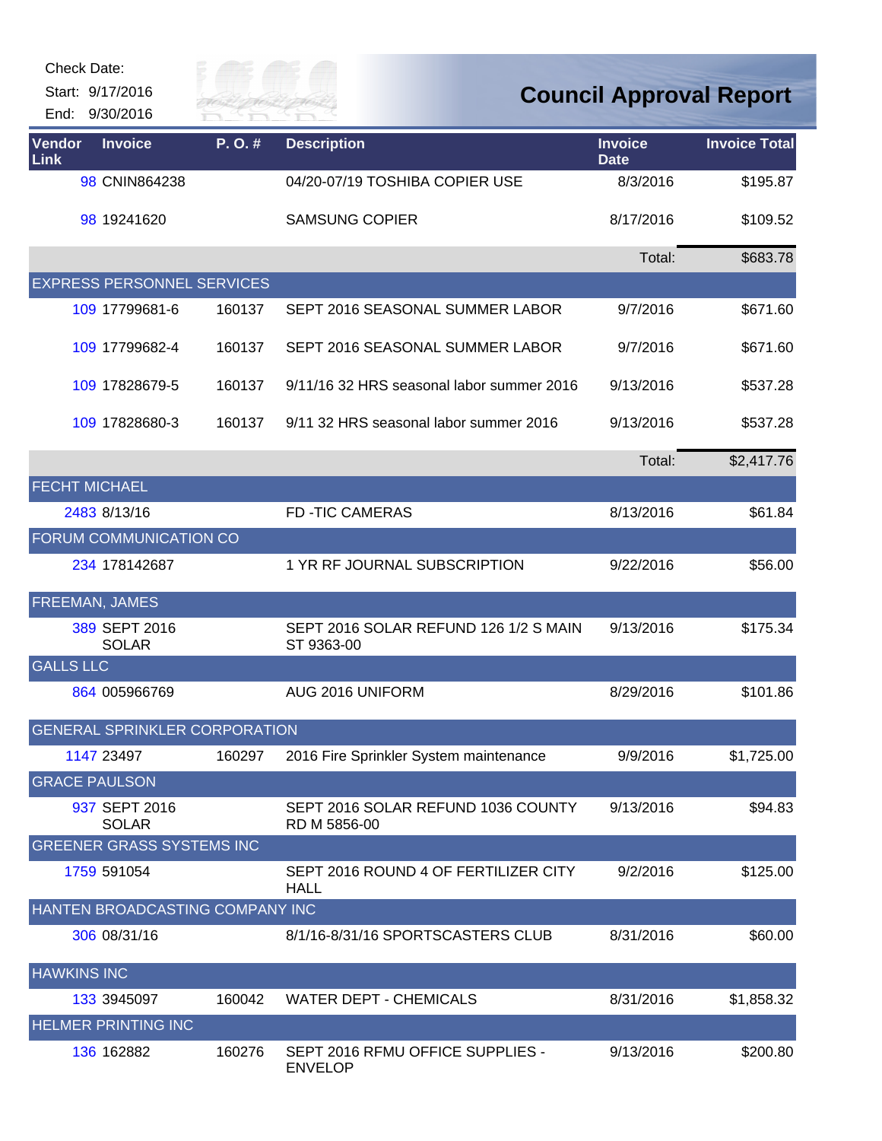| Check Date:           | Start: 9/17/2016<br>End: 9/30/2016   | City of |                                                     |                               | <b>Council Approval Report</b> |
|-----------------------|--------------------------------------|---------|-----------------------------------------------------|-------------------------------|--------------------------------|
| <b>Vendor</b><br>Link | <b>Invoice</b>                       | P.O.#   | <b>Description</b>                                  | <b>Invoice</b><br><b>Date</b> | <b>Invoice Total</b>           |
|                       | 98 CNIN864238                        |         | 04/20-07/19 TOSHIBA COPIER USE                      | 8/3/2016                      | \$195.87                       |
|                       | 98 19241620                          |         | <b>SAMSUNG COPIER</b>                               | 8/17/2016                     | \$109.52                       |
|                       |                                      |         |                                                     | Total:                        | \$683.78                       |
|                       | <b>EXPRESS PERSONNEL SERVICES</b>    |         |                                                     |                               |                                |
|                       | 109 17799681-6                       | 160137  | SEPT 2016 SEASONAL SUMMER LABOR                     | 9/7/2016                      | \$671.60                       |
|                       | 109 17799682-4                       | 160137  | SEPT 2016 SEASONAL SUMMER LABOR                     | 9/7/2016                      | \$671.60                       |
|                       | 109 17828679-5                       | 160137  | 9/11/16 32 HRS seasonal labor summer 2016           | 9/13/2016                     | \$537.28                       |
|                       | 109 17828680-3                       | 160137  | 9/11 32 HRS seasonal labor summer 2016              | 9/13/2016                     | \$537.28                       |
|                       |                                      |         |                                                     | Total:                        | \$2,417.76                     |
| <b>FECHT MICHAEL</b>  |                                      |         |                                                     |                               |                                |
|                       | 2483 8/13/16                         |         | <b>FD-TIC CAMERAS</b>                               | 8/13/2016                     | \$61.84                        |
|                       | FORUM COMMUNICATION CO               |         |                                                     |                               |                                |
|                       | 234 178142687                        |         | 1 YR RF JOURNAL SUBSCRIPTION                        | 9/22/2016                     | \$56.00                        |
|                       | FREEMAN, JAMES                       |         |                                                     |                               |                                |
|                       | 389 SEPT 2016<br><b>SOLAR</b>        |         | SEPT 2016 SOLAR REFUND 126 1/2 S MAIN<br>ST 9363-00 | 9/13/2016                     | \$175.34                       |
| <b>GALLS LLC</b>      |                                      |         |                                                     |                               |                                |
|                       | 864 005966769                        |         | AUG 2016 UNIFORM                                    | 8/29/2016                     | \$101.86                       |
|                       | <b>GENERAL SPRINKLER CORPORATION</b> |         |                                                     |                               |                                |
|                       | 1147 23497                           | 160297  | 2016 Fire Sprinkler System maintenance              | 9/9/2016                      | \$1,725.00                     |
|                       | <b>GRACE PAULSON</b>                 |         |                                                     |                               |                                |
|                       | 937 SEPT 2016<br><b>SOLAR</b>        |         | SEPT 2016 SOLAR REFUND 1036 COUNTY<br>RD M 5856-00  | 9/13/2016                     | \$94.83                        |
|                       | <b>GREENER GRASS SYSTEMS INC</b>     |         |                                                     |                               |                                |
|                       | 1759 591054                          |         | SEPT 2016 ROUND 4 OF FERTILIZER CITY<br><b>HALL</b> | 9/2/2016                      | \$125.00                       |
|                       | HANTEN BROADCASTING COMPANY INC      |         |                                                     |                               |                                |
|                       | 306 08/31/16                         |         | 8/1/16-8/31/16 SPORTSCASTERS CLUB                   | 8/31/2016                     | \$60.00                        |
| <b>HAWKINS INC</b>    |                                      |         |                                                     |                               |                                |
|                       | 133 3945097                          | 160042  | <b>WATER DEPT - CHEMICALS</b>                       | 8/31/2016                     | \$1,858.32                     |
|                       | <b>HELMER PRINTING INC</b>           |         |                                                     |                               |                                |
|                       | 136 162882                           | 160276  | SEPT 2016 RFMU OFFICE SUPPLIES -<br><b>ENVELOP</b>  | 9/13/2016                     | \$200.80                       |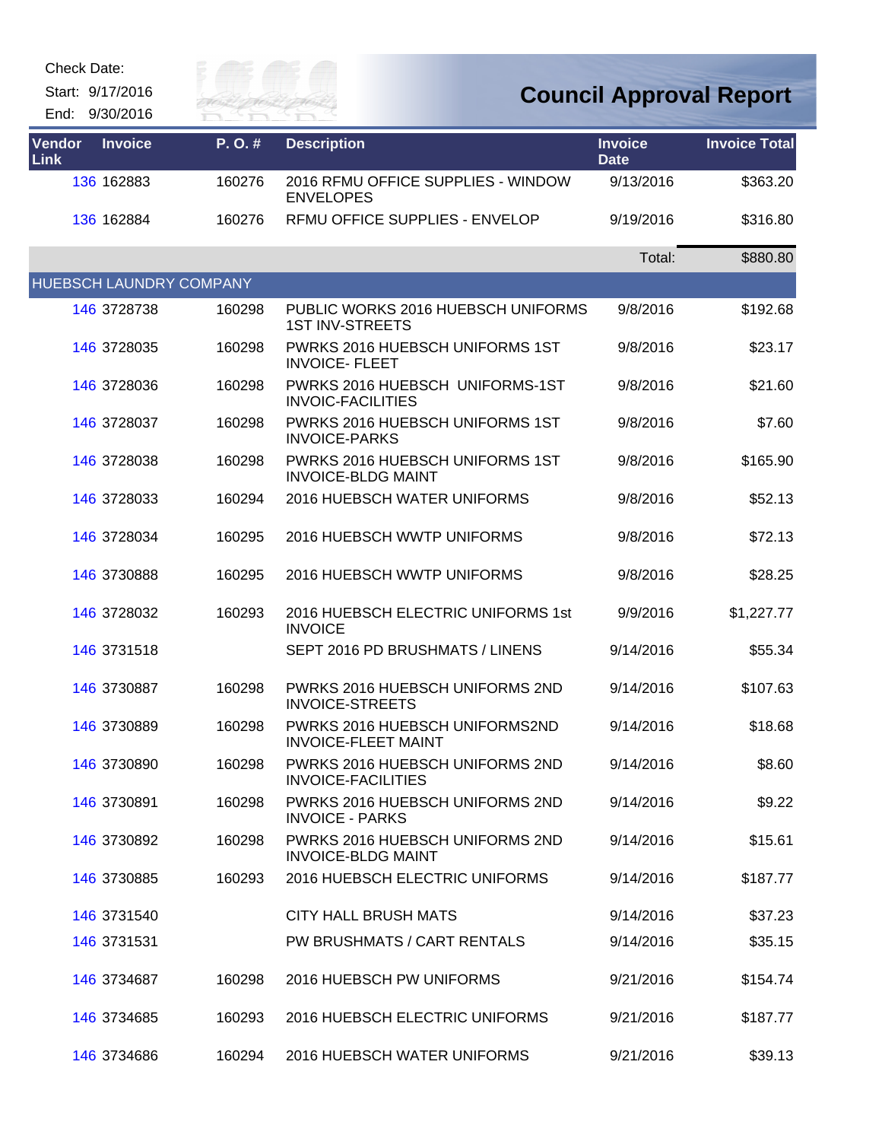Start: 9/17/2016



| Vendor<br>Link | <b>Invoice</b> | P.O.#                   | <b>Description</b>                                           | <b>Invoice</b><br><b>Date</b> | <b>Invoice Total</b> |
|----------------|----------------|-------------------------|--------------------------------------------------------------|-------------------------------|----------------------|
|                | 136 162883     | 160276                  | 2016 RFMU OFFICE SUPPLIES - WINDOW<br><b>ENVELOPES</b>       | 9/13/2016                     | \$363.20             |
|                | 136 162884     | 160276                  | RFMU OFFICE SUPPLIES - ENVELOP                               | 9/19/2016                     | \$316.80             |
|                |                |                         |                                                              | Total:                        | \$880.80             |
|                |                | HUEBSCH LAUNDRY COMPANY |                                                              |                               |                      |
|                | 146 3728738    | 160298                  | PUBLIC WORKS 2016 HUEBSCH UNIFORMS<br><b>1ST INV-STREETS</b> | 9/8/2016                      | \$192.68             |
|                | 146 3728035    | 160298                  | PWRKS 2016 HUEBSCH UNIFORMS 1ST<br><b>INVOICE- FLEET</b>     | 9/8/2016                      | \$23.17              |
|                | 146 3728036    | 160298                  | PWRKS 2016 HUEBSCH UNIFORMS-1ST<br><b>INVOIC-FACILITIES</b>  | 9/8/2016                      | \$21.60              |
|                | 146 3728037    | 160298                  | PWRKS 2016 HUEBSCH UNIFORMS 1ST<br><b>INVOICE-PARKS</b>      | 9/8/2016                      | \$7.60               |
|                | 146 3728038    | 160298                  | PWRKS 2016 HUEBSCH UNIFORMS 1ST<br><b>INVOICE-BLDG MAINT</b> | 9/8/2016                      | \$165.90             |
|                | 146 3728033    | 160294                  | <b>2016 HUEBSCH WATER UNIFORMS</b>                           | 9/8/2016                      | \$52.13              |
|                | 146 3728034    | 160295                  | 2016 HUEBSCH WWTP UNIFORMS                                   | 9/8/2016                      | \$72.13              |
|                | 146 3730888    | 160295                  | 2016 HUEBSCH WWTP UNIFORMS                                   | 9/8/2016                      | \$28.25              |
|                | 146 3728032    | 160293                  | 2016 HUEBSCH ELECTRIC UNIFORMS 1st<br><b>INVOICE</b>         | 9/9/2016                      | \$1,227.77           |
|                | 146 3731518    |                         | SEPT 2016 PD BRUSHMATS / LINENS                              | 9/14/2016                     | \$55.34              |
|                | 146 3730887    | 160298                  | PWRKS 2016 HUEBSCH UNIFORMS 2ND<br><b>INVOICE-STREETS</b>    | 9/14/2016                     | \$107.63             |
|                | 146 3730889    | 160298                  | PWRKS 2016 HUEBSCH UNIFORMS2ND<br><b>INVOICE-FLEET MAINT</b> | 9/14/2016                     | \$18.68              |
|                | 146 3730890    | 160298                  | PWRKS 2016 HUEBSCH UNIFORMS 2ND<br><b>INVOICE-FACILITIES</b> | 9/14/2016                     | \$8.60               |
|                | 146 3730891    | 160298                  | PWRKS 2016 HUEBSCH UNIFORMS 2ND<br><b>INVOICE - PARKS</b>    | 9/14/2016                     | \$9.22               |
|                | 146 3730892    | 160298                  | PWRKS 2016 HUEBSCH UNIFORMS 2ND<br><b>INVOICE-BLDG MAINT</b> | 9/14/2016                     | \$15.61              |
|                | 146 3730885    | 160293                  | 2016 HUEBSCH ELECTRIC UNIFORMS                               | 9/14/2016                     | \$187.77             |
|                | 146 3731540    |                         | <b>CITY HALL BRUSH MATS</b>                                  | 9/14/2016                     | \$37.23              |
|                | 146 3731531    |                         | <b>PW BRUSHMATS / CART RENTALS</b>                           | 9/14/2016                     | \$35.15              |
|                | 146 3734687    | 160298                  | 2016 HUEBSCH PW UNIFORMS                                     | 9/21/2016                     | \$154.74             |
|                | 146 3734685    | 160293                  | 2016 HUEBSCH ELECTRIC UNIFORMS                               | 9/21/2016                     | \$187.77             |
|                | 146 3734686    | 160294                  | 2016 HUEBSCH WATER UNIFORMS                                  | 9/21/2016                     | \$39.13              |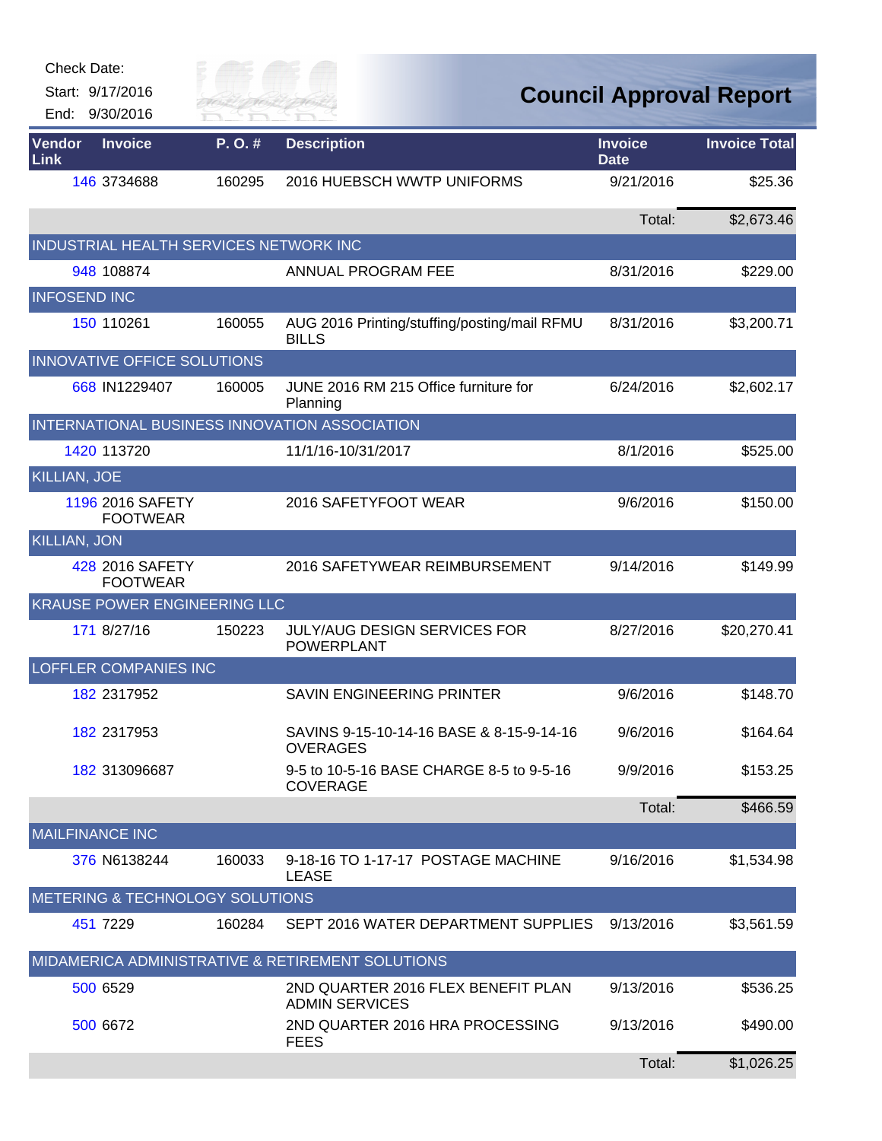| <b>Check Date:</b><br>Start: 9/17/2016<br>End: 9/30/2016 | City of |                                                              | <b>Council Approval Report</b> |                      |
|----------------------------------------------------------|---------|--------------------------------------------------------------|--------------------------------|----------------------|
| Vendor<br><b>Invoice</b><br><b>Link</b>                  | P.O.#   | <b>Description</b>                                           | <b>Invoice</b><br><b>Date</b>  | <b>Invoice Total</b> |
| 146 3734688                                              | 160295  | 2016 HUEBSCH WWTP UNIFORMS                                   | 9/21/2016                      | \$25.36              |
|                                                          |         |                                                              | Total:                         | \$2,673.46           |
| INDUSTRIAL HEALTH SERVICES NETWORK INC                   |         |                                                              |                                |                      |
| 948 108874                                               |         | ANNUAL PROGRAM FEE                                           | 8/31/2016                      | \$229.00             |
| <b>INFOSEND INC</b>                                      |         |                                                              |                                |                      |
| 150 110261                                               | 160055  | AUG 2016 Printing/stuffing/posting/mail RFMU<br><b>BILLS</b> | 8/31/2016                      | \$3,200.71           |
| INNOVATIVE OFFICE SOLUTIONS                              |         |                                                              |                                |                      |
| 668 IN1229407                                            | 160005  | JUNE 2016 RM 215 Office furniture for<br>Planning            | 6/24/2016                      | \$2,602.17           |
| INTERNATIONAL BUSINESS INNOVATION ASSOCIATION            |         |                                                              |                                |                      |
| 1420 113720                                              |         | 11/1/16-10/31/2017                                           | 8/1/2016                       | \$525.00             |
| <b>KILLIAN, JOE</b>                                      |         |                                                              |                                |                      |
| 1196 2016 SAFETY<br><b>FOOTWEAR</b>                      |         | 2016 SAFETYFOOT WEAR                                         | 9/6/2016                       | \$150.00             |
| <b>KILLIAN, JON</b>                                      |         |                                                              |                                |                      |
| 428 2016 SAFETY<br><b>FOOTWEAR</b>                       |         | 2016 SAFETYWEAR REIMBURSEMENT                                | 9/14/2016                      | \$149.99             |
| KRAUSE POWER ENGINEERING LLC                             |         |                                                              |                                |                      |
| 171 8/27/16                                              | 150223  | <b>JULY/AUG DESIGN SERVICES FOR</b><br><b>POWERPLANT</b>     | 8/27/2016                      | \$20,270.41          |
| LOFFLER COMPANIES INC                                    |         |                                                              |                                |                      |
| 182 2317952                                              |         | <b>SAVIN ENGINEERING PRINTER</b>                             | 9/6/2016                       | \$148.70             |
| 182 2317953                                              |         | SAVINS 9-15-10-14-16 BASE & 8-15-9-14-16<br><b>OVERAGES</b>  | 9/6/2016                       | \$164.64             |
| 182 313096687                                            |         | 9-5 to 10-5-16 BASE CHARGE 8-5 to 9-5-16<br><b>COVERAGE</b>  | 9/9/2016                       | \$153.25             |
|                                                          |         |                                                              | Total:                         | \$466.59             |
| <b>MAILFINANCE INC</b>                                   |         |                                                              |                                |                      |
| 376 N6138244                                             | 160033  | 9-18-16 TO 1-17-17 POSTAGE MACHINE<br><b>LEASE</b>           | 9/16/2016                      | \$1,534.98           |
| <b>METERING &amp; TECHNOLOGY SOLUTIONS</b>               |         |                                                              |                                |                      |
| 451 7229                                                 | 160284  | SEPT 2016 WATER DEPARTMENT SUPPLIES                          | 9/13/2016                      | \$3,561.59           |
|                                                          |         | MIDAMERICA ADMINISTRATIVE & RETIREMENT SOLUTIONS             |                                |                      |
| 500 6529                                                 |         | 2ND QUARTER 2016 FLEX BENEFIT PLAN<br><b>ADMIN SERVICES</b>  | 9/13/2016                      | \$536.25             |
| 500 6672                                                 |         | 2ND QUARTER 2016 HRA PROCESSING<br><b>FEES</b>               | 9/13/2016                      | \$490.00             |
|                                                          |         |                                                              | Total:                         | \$1,026.25           |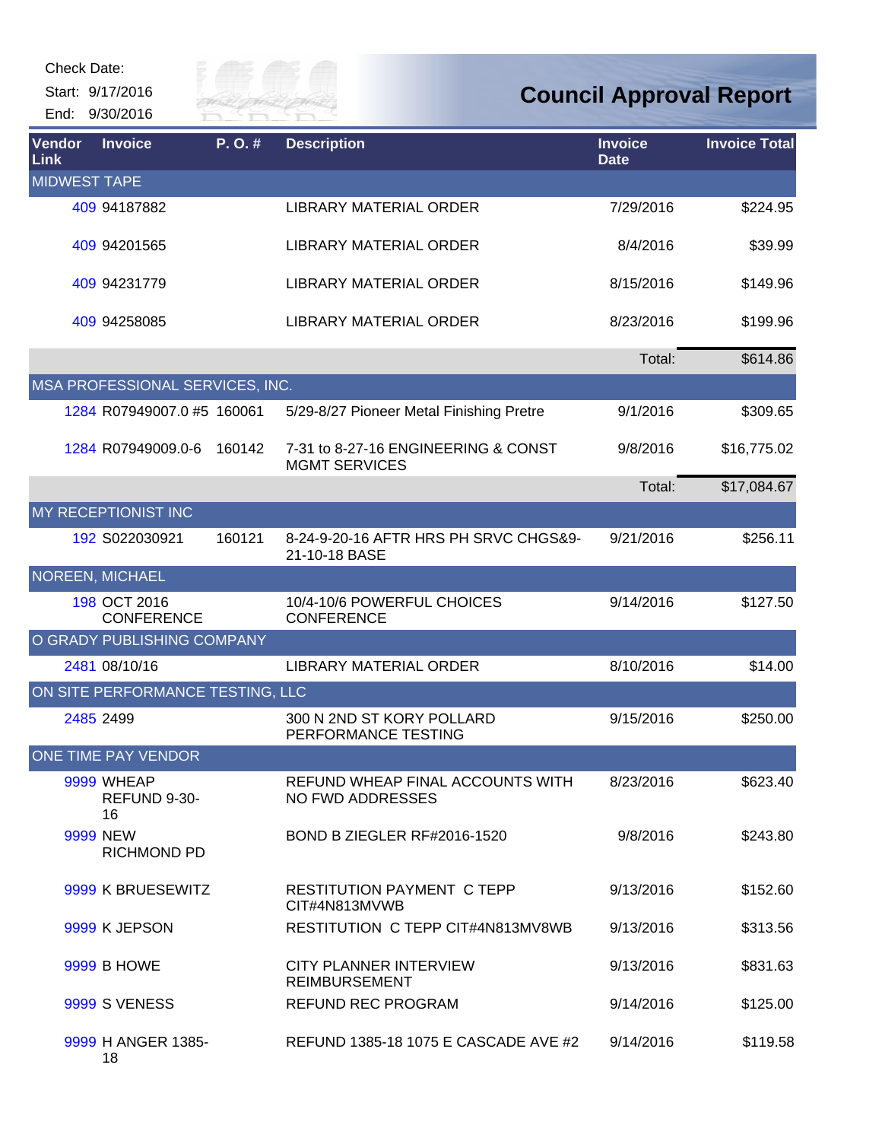| <b>Check Date:</b>  | Start: 9/17/2016                        | City of   |                                                             | <b>Council Approval Report</b> |                      |
|---------------------|-----------------------------------------|-----------|-------------------------------------------------------------|--------------------------------|----------------------|
|                     | End: 9/30/2016                          | River Fai |                                                             |                                |                      |
| Vendor<br>Link      | <b>Invoice</b>                          | P.O.#     | <b>Description</b>                                          | <b>Invoice</b><br><b>Date</b>  | <b>Invoice Total</b> |
| <b>MIDWEST TAPE</b> |                                         |           |                                                             |                                |                      |
|                     | 409 94187882                            |           | <b>LIBRARY MATERIAL ORDER</b>                               | 7/29/2016                      | \$224.95             |
|                     | 409 94201565                            |           | LIBRARY MATERIAL ORDER                                      | 8/4/2016                       | \$39.99              |
|                     | 409 94231779                            |           | LIBRARY MATERIAL ORDER                                      | 8/15/2016                      | \$149.96             |
|                     | 409 94258085                            |           | <b>LIBRARY MATERIAL ORDER</b>                               | 8/23/2016                      | \$199.96             |
|                     |                                         |           |                                                             | Total:                         | \$614.86             |
|                     | MSA PROFESSIONAL SERVICES, INC.         |           |                                                             |                                |                      |
|                     | 1284 R07949007.0 #5 160061              |           | 5/29-8/27 Pioneer Metal Finishing Pretre                    | 9/1/2016                       | \$309.65             |
|                     | 1284 R07949009.0-6                      | 160142    | 7-31 to 8-27-16 ENGINEERING & CONST<br><b>MGMT SERVICES</b> | 9/8/2016                       | \$16,775.02          |
|                     |                                         |           |                                                             | Total:                         | \$17,084.67          |
|                     | MY RECEPTIONIST INC                     |           |                                                             |                                |                      |
|                     | 192 S022030921                          | 160121    | 8-24-9-20-16 AFTR HRS PH SRVC CHGS&9-<br>21-10-18 BASE      | 9/21/2016                      | \$256.11             |
|                     | <b>NOREEN, MICHAEL</b>                  |           |                                                             |                                |                      |
|                     | 198 OCT 2016<br><b>CONFERENCE</b>       |           | 10/4-10/6 POWERFUL CHOICES<br><b>CONFERENCE</b>             | 9/14/2016                      | \$127.50             |
|                     | O GRADY PUBLISHING COMPANY              |           |                                                             |                                |                      |
|                     | 2481 08/10/16                           |           | <b>LIBRARY MATERIAL ORDER</b>                               | 8/10/2016                      | \$14.00              |
|                     | ON SITE PERFORMANCE TESTING, LLC        |           |                                                             |                                |                      |
|                     | 2485 2499                               |           | 300 N 2ND ST KORY POLLARD<br>PERFORMANCE TESTING            | 9/15/2016                      | \$250.00             |
|                     | ONE TIME PAY VENDOR                     |           |                                                             |                                |                      |
|                     | <b>9999 WHEAP</b><br>REFUND 9-30-<br>16 |           | REFUND WHEAP FINAL ACCOUNTS WITH<br>NO FWD ADDRESSES        | 8/23/2016                      | \$623.40             |
|                     | 9999 NEW<br><b>RICHMOND PD</b>          |           | BOND B ZIEGLER RF#2016-1520                                 | 9/8/2016                       | \$243.80             |
|                     | 9999 K BRUESEWITZ                       |           | <b>RESTITUTION PAYMENT C TEPP</b><br>CIT#4N813MVWB          | 9/13/2016                      | \$152.60             |
|                     | 9999 K JEPSON                           |           | RESTITUTION C TEPP CIT#4N813MV8WB                           | 9/13/2016                      | \$313.56             |
|                     | <b>9999 B HOWE</b>                      |           | <b>CITY PLANNER INTERVIEW</b><br><b>REIMBURSEMENT</b>       | 9/13/2016                      | \$831.63             |
|                     | <b>9999 S VENESS</b>                    |           | <b>REFUND REC PROGRAM</b>                                   | 9/14/2016                      | \$125.00             |
|                     | 9999 H ANGER 1385-<br>18                |           | REFUND 1385-18 1075 E CASCADE AVE #2                        | 9/14/2016                      | \$119.58             |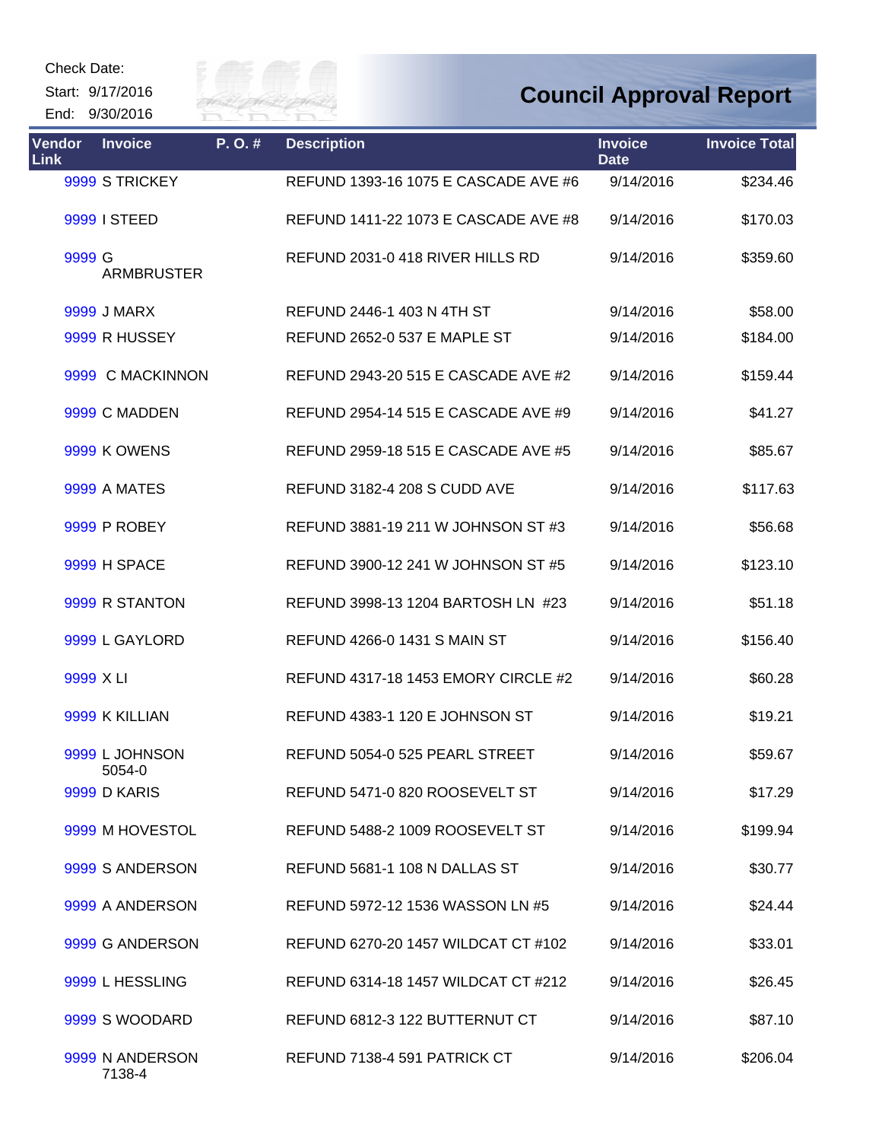Start: 9/17/2016 End: 9/30/2016



| <b>Vendor</b><br><b>Link</b> | <b>Invoice</b>            | P.O.# | <b>Description</b>                   | <b>Invoice</b><br><b>Date</b> | <b>Invoice Total</b> |
|------------------------------|---------------------------|-------|--------------------------------------|-------------------------------|----------------------|
|                              | 9999 S TRICKEY            |       | REFUND 1393-16 1075 E CASCADE AVE #6 | 9/14/2016                     | \$234.46             |
|                              | 9999 I STEED              |       | REFUND 1411-22 1073 E CASCADE AVE #8 | 9/14/2016                     | \$170.03             |
| 9999 G                       | <b>ARMBRUSTER</b>         |       | REFUND 2031-0 418 RIVER HILLS RD     | 9/14/2016                     | \$359.60             |
|                              | 9999 J MARX               |       | REFUND 2446-1 403 N 4TH ST           | 9/14/2016                     | \$58.00              |
|                              | 9999 R HUSSEY             |       | REFUND 2652-0 537 E MAPLE ST         | 9/14/2016                     | \$184.00             |
|                              | 9999 C MACKINNON          |       | REFUND 2943-20 515 E CASCADE AVE #2  | 9/14/2016                     | \$159.44             |
|                              | 9999 C MADDEN             |       | REFUND 2954-14 515 E CASCADE AVE #9  | 9/14/2016                     | \$41.27              |
|                              | <b>9999 K OWENS</b>       |       | REFUND 2959-18 515 E CASCADE AVE #5  | 9/14/2016                     | \$85.67              |
|                              | <b>9999 A MATES</b>       |       | <b>REFUND 3182-4 208 S CUDD AVE</b>  | 9/14/2016                     | \$117.63             |
|                              | <b>9999 P ROBEY</b>       |       | REFUND 3881-19 211 W JOHNSON ST #3   | 9/14/2016                     | \$56.68              |
|                              | <b>9999 H SPACE</b>       |       | REFUND 3900-12 241 W JOHNSON ST #5   | 9/14/2016                     | \$123.10             |
|                              | 9999 R STANTON            |       | REFUND 3998-13 1204 BARTOSH LN #23   | 9/14/2016                     | \$51.18              |
|                              | 9999 L GAYLORD            |       | REFUND 4266-0 1431 S MAIN ST         | 9/14/2016                     | \$156.40             |
| 9999 X LI                    |                           |       | REFUND 4317-18 1453 EMORY CIRCLE #2  | 9/14/2016                     | \$60.28              |
|                              | 9999 K KILLIAN            |       | REFUND 4383-1 120 E JOHNSON ST       | 9/14/2016                     | \$19.21              |
|                              | 9999 L JOHNSON<br>5054-0  |       | REFUND 5054-0 525 PEARL STREET       | 9/14/2016                     | \$59.67              |
|                              | 9999 D KARIS              |       | REFUND 5471-0 820 ROOSEVELT ST       | 9/14/2016                     | \$17.29              |
|                              | 9999 M HOVESTOL           |       | REFUND 5488-2 1009 ROOSEVELT ST      | 9/14/2016                     | \$199.94             |
|                              | 9999 S ANDERSON           |       | REFUND 5681-1 108 N DALLAS ST        | 9/14/2016                     | \$30.77              |
|                              | 9999 A ANDERSON           |       | REFUND 5972-12 1536 WASSON LN #5     | 9/14/2016                     | \$24.44              |
|                              | 9999 G ANDERSON           |       | REFUND 6270-20 1457 WILDCAT CT #102  | 9/14/2016                     | \$33.01              |
|                              | 9999 L HESSLING           |       | REFUND 6314-18 1457 WILDCAT CT #212  | 9/14/2016                     | \$26.45              |
|                              | 9999 S WOODARD            |       | REFUND 6812-3 122 BUTTERNUT CT       | 9/14/2016                     | \$87.10              |
|                              | 9999 N ANDERSON<br>7138-4 |       | REFUND 7138-4 591 PATRICK CT         | 9/14/2016                     | \$206.04             |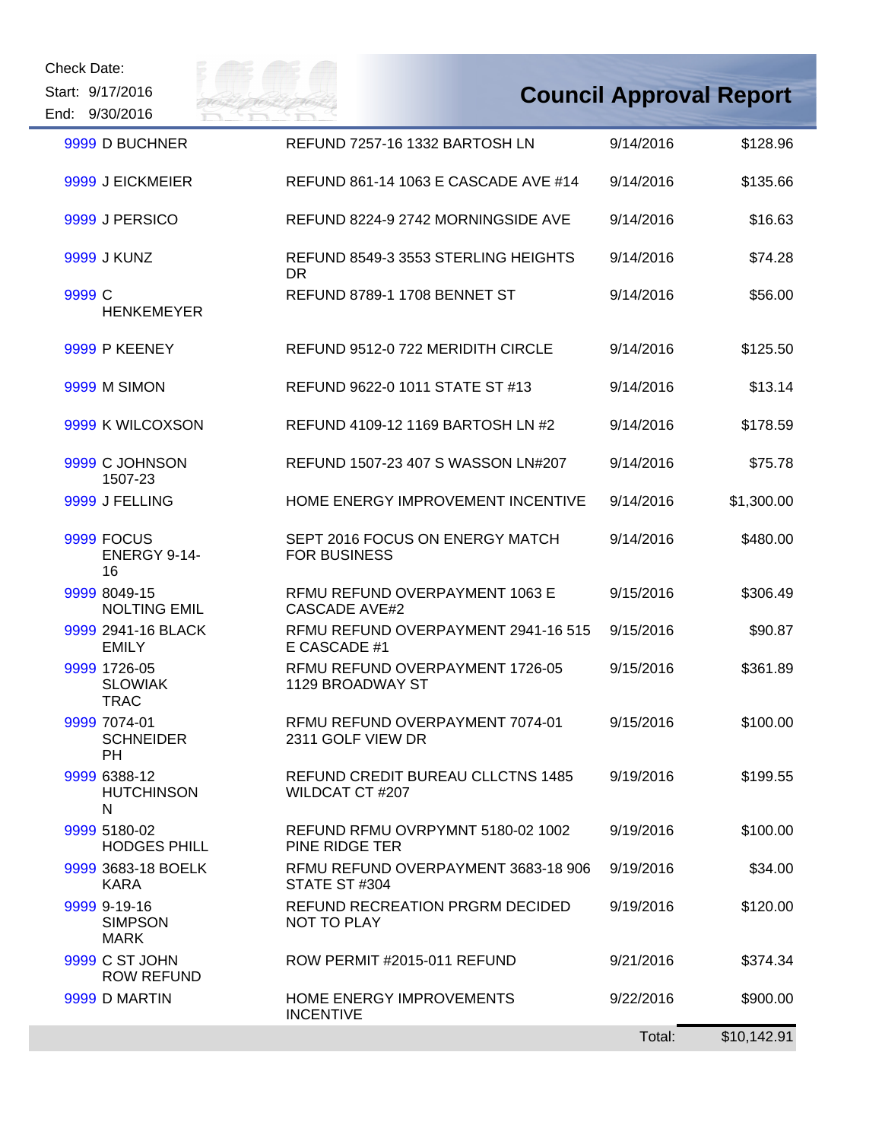Start: 9/17/2016 End: 9/30/2016



| 9999 D BUCHNER                                | REFUND 7257-16 1332 BARTOSH LN                         | 9/14/2016 | \$128.96    |
|-----------------------------------------------|--------------------------------------------------------|-----------|-------------|
| 9999 J EICKMEIER                              | REFUND 861-14 1063 E CASCADE AVE #14                   | 9/14/2016 | \$135.66    |
| 9999 J PERSICO                                | REFUND 8224-9 2742 MORNINGSIDE AVE                     | 9/14/2016 | \$16.63     |
| 9999 J KUNZ                                   | REFUND 8549-3 3553 STERLING HEIGHTS<br>DR.             | 9/14/2016 | \$74.28     |
| 9999 C<br><b>HENKEMEYER</b>                   | <b>REFUND 8789-1 1708 BENNET ST</b>                    | 9/14/2016 | \$56.00     |
| 9999 P KEENEY                                 | REFUND 9512-0 722 MERIDITH CIRCLE                      | 9/14/2016 | \$125.50    |
| <b>9999 M SIMON</b>                           | REFUND 9622-0 1011 STATE ST #13                        | 9/14/2016 | \$13.14     |
| 9999 K WILCOXSON                              | REFUND 4109-12 1169 BARTOSH LN #2                      | 9/14/2016 | \$178.59    |
| 9999 C JOHNSON<br>1507-23                     | REFUND 1507-23 407 S WASSON LN#207                     | 9/14/2016 | \$75.78     |
| 9999 J FELLING                                | HOME ENERGY IMPROVEMENT INCENTIVE                      | 9/14/2016 | \$1,300.00  |
| 9999 FOCUS<br>ENERGY 9-14-<br>16              | SEPT 2016 FOCUS ON ENERGY MATCH<br><b>FOR BUSINESS</b> | 9/14/2016 | \$480.00    |
| 9999 8049-15<br><b>NOLTING EMIL</b>           | RFMU REFUND OVERPAYMENT 1063 E<br><b>CASCADE AVE#2</b> | 9/15/2016 | \$306.49    |
| 9999 2941-16 BLACK<br><b>EMILY</b>            | RFMU REFUND OVERPAYMENT 2941-16 515<br>E CASCADE #1    | 9/15/2016 | \$90.87     |
| 9999 1726-05<br><b>SLOWIAK</b><br><b>TRAC</b> | RFMU REFUND OVERPAYMENT 1726-05<br>1129 BROADWAY ST    | 9/15/2016 | \$361.89    |
| 9999 7074-01<br><b>SCHNEIDER</b><br><b>PH</b> | RFMU REFUND OVERPAYMENT 7074-01<br>2311 GOLF VIEW DR   | 9/15/2016 | \$100.00    |
| 9999 6388-12<br><b>HUTCHINSON</b><br>N        | REFUND CREDIT BUREAU CLLCTNS 1485<br>WILDCAT CT #207   | 9/19/2016 | \$199.55    |
| 9999 5180-02<br><b>HODGES PHILL</b>           | REFUND RFMU OVRPYMNT 5180-02 1002<br>PINE RIDGE TER    | 9/19/2016 | \$100.00    |
| 9999 3683-18 BOELK<br><b>KARA</b>             | RFMU REFUND OVERPAYMENT 3683-18 906<br>STATE ST #304   | 9/19/2016 | \$34.00     |
| 9999 9-19-16<br><b>SIMPSON</b><br><b>MARK</b> | <b>REFUND RECREATION PRGRM DECIDED</b><br>NOT TO PLAY  | 9/19/2016 | \$120.00    |
| 9999 C ST JOHN<br><b>ROW REFUND</b>           | ROW PERMIT #2015-011 REFUND                            | 9/21/2016 | \$374.34    |
| 9999 D MARTIN                                 | HOME ENERGY IMPROVEMENTS<br><b>INCENTIVE</b>           | 9/22/2016 | \$900.00    |
|                                               |                                                        | Total:    | \$10,142.91 |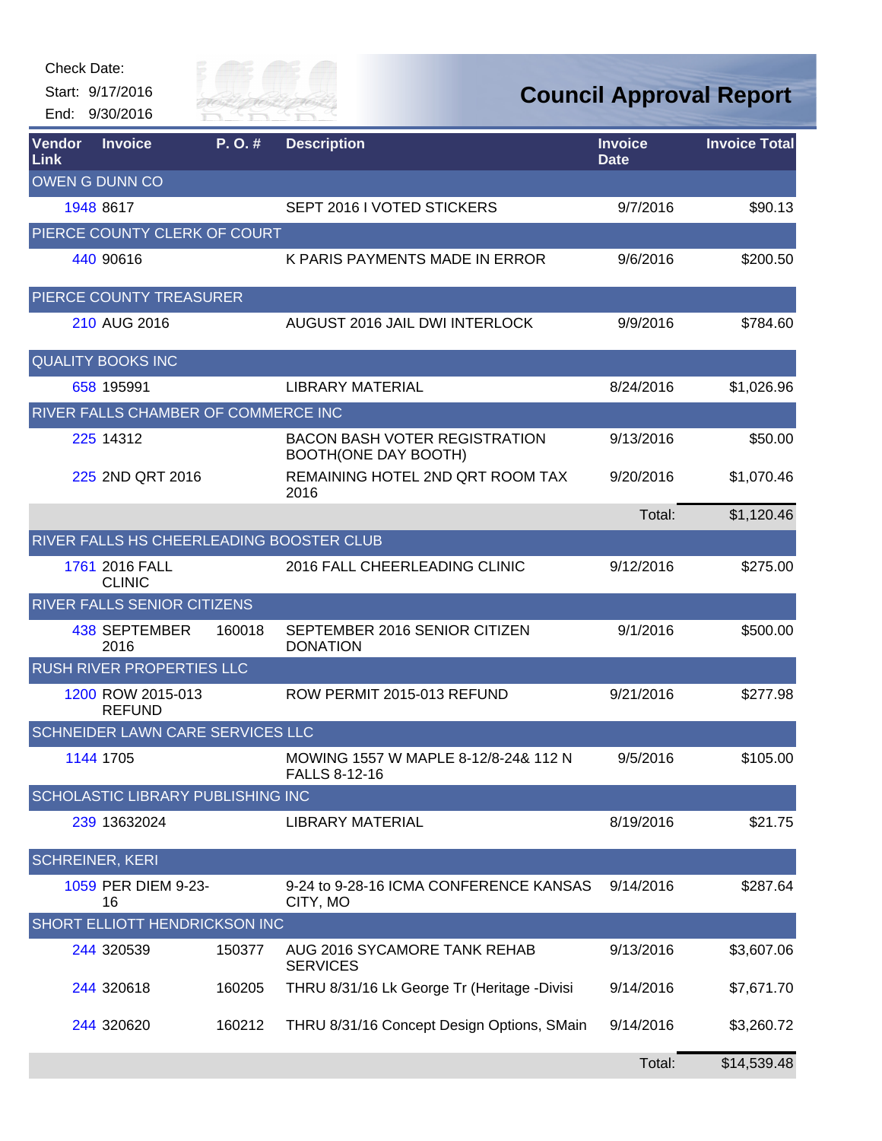| <b>Check Date:</b> | Start: 9/17/2016<br>End: 9/30/2016       | Silly of T<br>River Fai |                                                                     |                               | <b>Council Approval Report</b> |
|--------------------|------------------------------------------|-------------------------|---------------------------------------------------------------------|-------------------------------|--------------------------------|
| Vendor<br>Link     | <b>Invoice</b>                           | P.O.#                   | <b>Description</b>                                                  | <b>Invoice</b><br><b>Date</b> | <b>Invoice Total</b>           |
|                    | OWEN G DUNN CO                           |                         |                                                                     |                               |                                |
|                    | 1948 8617                                |                         | SEPT 2016 I VOTED STICKERS                                          | 9/7/2016                      | \$90.13                        |
|                    | PIERCE COUNTY CLERK OF COURT             |                         |                                                                     |                               |                                |
|                    | 440 90616                                |                         | K PARIS PAYMENTS MADE IN ERROR                                      | 9/6/2016                      | \$200.50                       |
|                    | PIERCE COUNTY TREASURER                  |                         |                                                                     |                               |                                |
|                    | 210 AUG 2016                             |                         | AUGUST 2016 JAIL DWI INTERLOCK                                      | 9/9/2016                      | \$784.60                       |
|                    | <b>QUALITY BOOKS INC</b>                 |                         |                                                                     |                               |                                |
|                    | 658 195991                               |                         | <b>LIBRARY MATERIAL</b>                                             | 8/24/2016                     | \$1,026.96                     |
|                    | RIVER FALLS CHAMBER OF COMMERCE INC      |                         |                                                                     |                               |                                |
|                    | 225 14312                                |                         | <b>BACON BASH VOTER REGISTRATION</b><br><b>BOOTH(ONE DAY BOOTH)</b> | 9/13/2016                     | \$50.00                        |
|                    | 225 2ND QRT 2016                         |                         | REMAINING HOTEL 2ND QRT ROOM TAX<br>2016                            | 9/20/2016                     | \$1,070.46                     |
|                    |                                          |                         |                                                                     | Total:                        | \$1,120.46                     |
|                    | RIVER FALLS HS CHEERLEADING BOOSTER CLUB |                         |                                                                     |                               |                                |
|                    | 1761 2016 FALL<br><b>CLINIC</b>          |                         | 2016 FALL CHEERLEADING CLINIC                                       | 9/12/2016                     | \$275.00                       |
|                    | RIVER FALLS SENIOR CITIZENS              |                         |                                                                     |                               |                                |
|                    | 438 SEPTEMBER<br>2016                    | 160018                  | SEPTEMBER 2016 SENIOR CITIZEN<br><b>DONATION</b>                    | 9/1/2016                      | \$500.00                       |
|                    | <b>RUSH RIVER PROPERTIES LLC</b>         |                         |                                                                     |                               |                                |
|                    | 1200 ROW 2015-013<br>REFUND              |                         | ROW PERMIT 2015-013 REFUND                                          | 9/21/2016                     | \$277.98                       |
|                    | <b>SCHNEIDER LAWN CARE SERVICES LLC</b>  |                         |                                                                     |                               |                                |
|                    | 1144 1705                                |                         | MOWING 1557 W MAPLE 8-12/8-24& 112 N<br><b>FALLS 8-12-16</b>        | 9/5/2016                      | \$105.00                       |
|                    | SCHOLASTIC LIBRARY PUBLISHING INC        |                         |                                                                     |                               |                                |
|                    | 239 13632024                             |                         | <b>LIBRARY MATERIAL</b>                                             | 8/19/2016                     | \$21.75                        |
|                    | <b>SCHREINER, KERI</b>                   |                         |                                                                     |                               |                                |
|                    | 1059 PER DIEM 9-23-<br>16                |                         | 9-24 to 9-28-16 ICMA CONFERENCE KANSAS<br>CITY, MO                  | 9/14/2016                     | \$287.64                       |
|                    | SHORT ELLIOTT HENDRICKSON INC            |                         |                                                                     |                               |                                |
|                    | 244 320539                               | 150377                  | AUG 2016 SYCAMORE TANK REHAB<br><b>SERVICES</b>                     | 9/13/2016                     | \$3,607.06                     |
|                    | 244 320618                               | 160205                  | THRU 8/31/16 Lk George Tr (Heritage -Divisi                         | 9/14/2016                     | \$7,671.70                     |
|                    | 244 320620                               | 160212                  | THRU 8/31/16 Concept Design Options, SMain                          | 9/14/2016                     | \$3,260.72                     |
|                    |                                          |                         |                                                                     | Total:                        | \$14,539.48                    |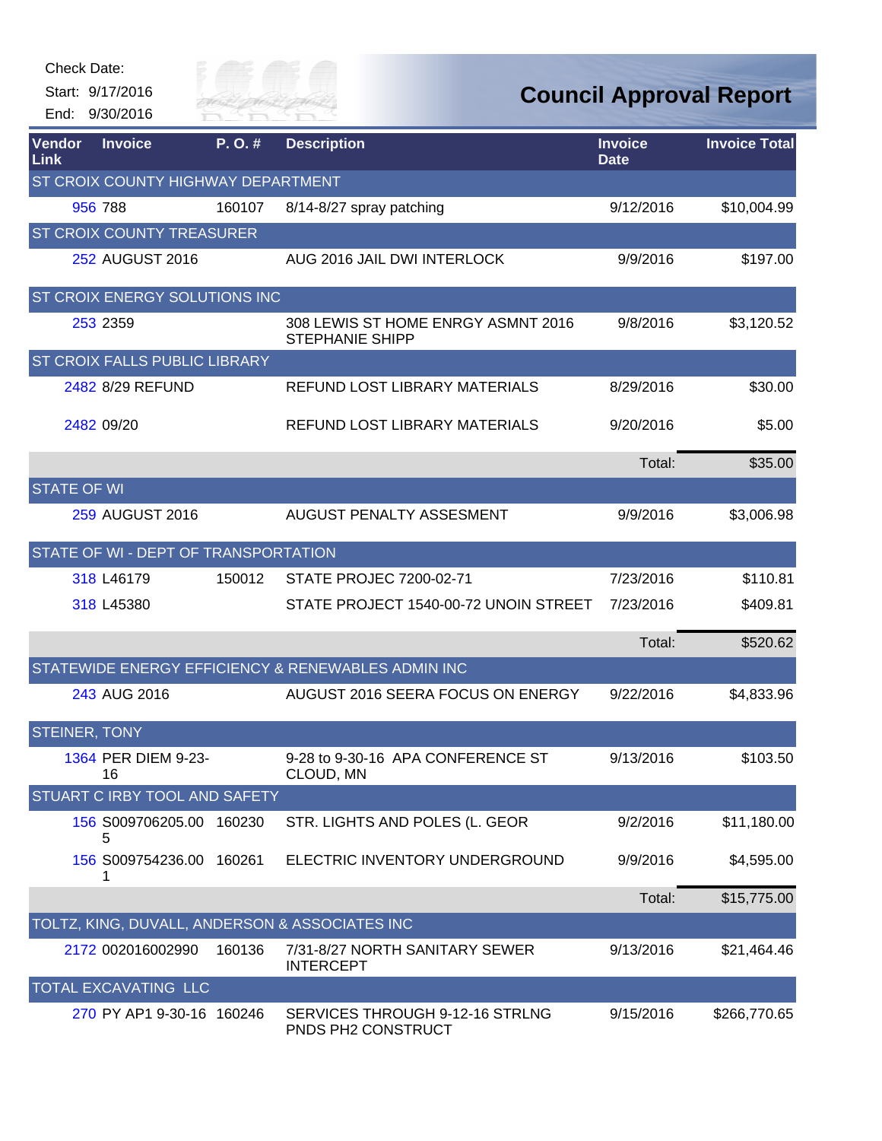| Check Date:<br>End:   | Start: 9/17/2016<br>9/30/2016        | City of<br>River Fai |                                                              |                               | <b>Council Approval Report</b> |
|-----------------------|--------------------------------------|----------------------|--------------------------------------------------------------|-------------------------------|--------------------------------|
| Vendor<br><b>Link</b> | <b>Invoice</b>                       | P.O.#                | <b>Description</b>                                           | <b>Invoice</b><br><b>Date</b> | <b>Invoice Total</b>           |
|                       | ST CROIX COUNTY HIGHWAY DEPARTMENT   |                      |                                                              |                               |                                |
|                       | 956 788                              | 160107               | 8/14-8/27 spray patching                                     | 9/12/2016                     | \$10,004.99                    |
|                       | ST CROIX COUNTY TREASURER            |                      |                                                              |                               |                                |
|                       | 252 AUGUST 2016                      |                      | AUG 2016 JAIL DWI INTERLOCK                                  | 9/9/2016                      | \$197.00                       |
|                       | ST CROIX ENERGY SOLUTIONS INC        |                      |                                                              |                               |                                |
|                       | 253 2359                             |                      | 308 LEWIS ST HOME ENRGY ASMNT 2016<br><b>STEPHANIE SHIPP</b> | 9/8/2016                      | \$3,120.52                     |
|                       | ST CROIX FALLS PUBLIC LIBRARY        |                      |                                                              |                               |                                |
|                       | 2482 8/29 REFUND                     |                      | REFUND LOST LIBRARY MATERIALS                                | 8/29/2016                     | \$30.00                        |
|                       | 2482 09/20                           |                      | REFUND LOST LIBRARY MATERIALS                                | 9/20/2016                     | \$5.00                         |
|                       |                                      |                      |                                                              | Total:                        | \$35.00                        |
| <b>STATE OF WI</b>    |                                      |                      |                                                              |                               |                                |
|                       | 259 AUGUST 2016                      |                      | AUGUST PENALTY ASSESMENT                                     | 9/9/2016                      | \$3,006.98                     |
|                       | STATE OF WI - DEPT OF TRANSPORTATION |                      |                                                              |                               |                                |
|                       | 318 L46179                           | 150012               | <b>STATE PROJEC 7200-02-71</b>                               | 7/23/2016                     | \$110.81                       |
|                       | 318 L45380                           |                      | STATE PROJECT 1540-00-72 UNOIN STREET                        | 7/23/2016                     | \$409.81                       |
|                       |                                      |                      |                                                              | Total:                        | \$520.62                       |
|                       |                                      |                      | STATEWIDE ENERGY EFFICIENCY & RENEWABLES ADMIN INC           |                               |                                |
|                       | 243 AUG 2016                         |                      | AUGUST 2016 SEERA FOCUS ON ENERGY                            | 9/22/2016                     | \$4,833.96                     |
| <b>STEINER, TONY</b>  |                                      |                      |                                                              |                               |                                |
|                       | 1364 PER DIEM 9-23-<br>16            |                      | 9-28 to 9-30-16 APA CONFERENCE ST<br>CLOUD, MN               | 9/13/2016                     | \$103.50                       |
|                       | <b>STUART C IRBY TOOL AND SAFETY</b> |                      |                                                              |                               |                                |
|                       | 156 S009706205.00<br>5               | 160230               | STR. LIGHTS AND POLES (L. GEOR                               | 9/2/2016                      | \$11,180.00                    |
|                       | 156 S009754236.00 160261<br>1        |                      | ELECTRIC INVENTORY UNDERGROUND                               | 9/9/2016                      | \$4,595.00                     |
|                       |                                      |                      |                                                              | Total:                        | \$15,775.00                    |
|                       |                                      |                      | TOLTZ, KING, DUVALL, ANDERSON & ASSOCIATES INC               |                               |                                |
|                       | 2172 002016002990                    | 160136               | 7/31-8/27 NORTH SANITARY SEWER<br><b>INTERCEPT</b>           | 9/13/2016                     | \$21,464.46                    |
|                       | TOTAL EXCAVATING LLC                 |                      |                                                              |                               |                                |
|                       | 270 PY AP1 9-30-16 160246            |                      | SERVICES THROUGH 9-12-16 STRLNG<br>PNDS PH2 CONSTRUCT        | 9/15/2016                     | \$266,770.65                   |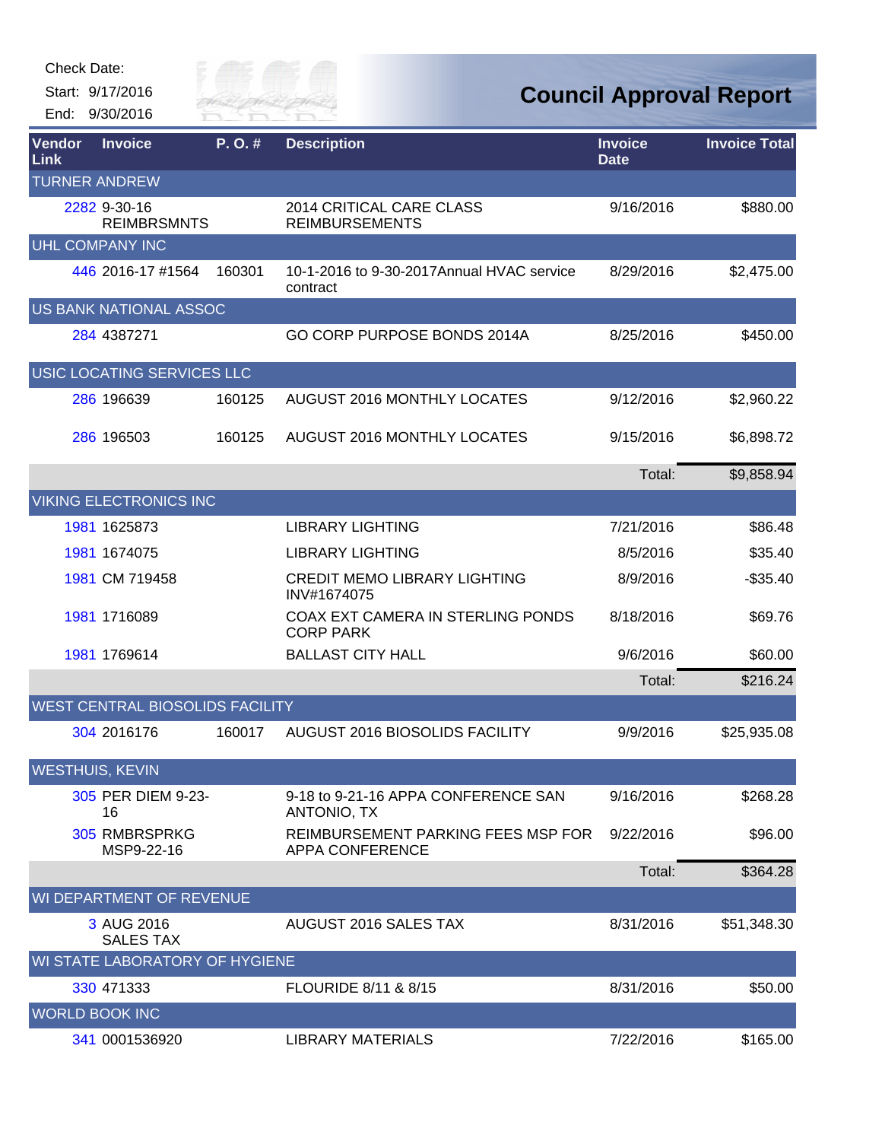| Check Date: |  |
|-------------|--|
|-------------|--|

Start: 9/17/2016 End: 9/30/2016



| Vendor<br>Link                  | <b>Invoice</b>                        | P.O.#  | <b>Description</b>                                           | <b>Invoice</b><br><b>Date</b> | <b>Invoice Total</b> |  |
|---------------------------------|---------------------------------------|--------|--------------------------------------------------------------|-------------------------------|----------------------|--|
| <b>TURNER ANDREW</b>            |                                       |        |                                                              |                               |                      |  |
|                                 | 2282 9-30-16<br><b>REIMBRSMNTS</b>    |        | 2014 CRITICAL CARE CLASS<br><b>REIMBURSEMENTS</b>            | 9/16/2016                     | \$880.00             |  |
|                                 | <b>UHL COMPANY INC</b>                |        |                                                              |                               |                      |  |
|                                 | 446 2016-17 #1564                     | 160301 | 10-1-2016 to 9-30-2017 Annual HVAC service<br>contract       | 8/29/2016                     | \$2,475.00           |  |
|                                 | US BANK NATIONAL ASSOC                |        |                                                              |                               |                      |  |
|                                 | 284 4387271                           |        | GO CORP PURPOSE BONDS 2014A                                  | 8/25/2016                     | \$450.00             |  |
|                                 | USIC LOCATING SERVICES LLC            |        |                                                              |                               |                      |  |
|                                 | 286 196639                            | 160125 | AUGUST 2016 MONTHLY LOCATES                                  | 9/12/2016                     | \$2,960.22           |  |
|                                 | 286 196503                            | 160125 | <b>AUGUST 2016 MONTHLY LOCATES</b>                           | 9/15/2016                     | \$6,898.72           |  |
|                                 |                                       |        |                                                              | Total:                        | \$9,858.94           |  |
|                                 | <b>VIKING ELECTRONICS INC</b>         |        |                                                              |                               |                      |  |
|                                 | 1981 1625873                          |        | <b>LIBRARY LIGHTING</b>                                      | 7/21/2016                     | \$86.48              |  |
|                                 | 1981 1674075                          |        | <b>LIBRARY LIGHTING</b>                                      | 8/5/2016                      | \$35.40              |  |
|                                 | 1981 CM 719458                        |        | <b>CREDIT MEMO LIBRARY LIGHTING</b><br>INV#1674075           | 8/9/2016                      | $-$35.40$            |  |
|                                 | 1981 1716089                          |        | COAX EXT CAMERA IN STERLING PONDS<br><b>CORP PARK</b>        | 8/18/2016                     | \$69.76              |  |
|                                 | 1981 1769614                          |        | <b>BALLAST CITY HALL</b>                                     | 9/6/2016                      | \$60.00              |  |
|                                 |                                       |        |                                                              | Total:                        | \$216.24             |  |
| WEST CENTRAL BIOSOLIDS FACILITY |                                       |        |                                                              |                               |                      |  |
|                                 | 304 2016176                           | 160017 | AUGUST 2016 BIOSOLIDS FACILITY                               | 9/9/2016                      | \$25,935.08          |  |
|                                 | <b>WESTHUIS, KEVIN</b>                |        |                                                              |                               |                      |  |
|                                 | 305 PER DIEM 9-23-<br>16              |        | 9-18 to 9-21-16 APPA CONFERENCE SAN<br>ANTONIO, TX           | 9/16/2016                     | \$268.28             |  |
|                                 | 305 RMBRSPRKG<br>MSP9-22-16           |        | REIMBURSEMENT PARKING FEES MSP FOR<br><b>APPA CONFERENCE</b> | 9/22/2016                     | \$96.00              |  |
|                                 |                                       |        |                                                              | Total:                        | \$364.28             |  |
|                                 | WI DEPARTMENT OF REVENUE              |        |                                                              |                               |                      |  |
|                                 | 3 AUG 2016<br><b>SALES TAX</b>        |        | AUGUST 2016 SALES TAX                                        | 8/31/2016                     | \$51,348.30          |  |
|                                 | <b>WI STATE LABORATORY OF HYGIENE</b> |        |                                                              |                               |                      |  |
|                                 | 330 471333                            |        | FLOURIDE 8/11 & 8/15                                         | 8/31/2016                     | \$50.00              |  |
|                                 | <b>WORLD BOOK INC</b>                 |        |                                                              |                               |                      |  |
|                                 | 341 0001536920                        |        | <b>LIBRARY MATERIALS</b>                                     | 7/22/2016                     | \$165.00             |  |